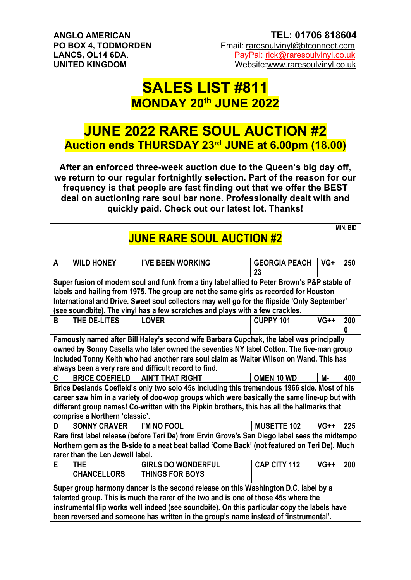#### **ANGLO AMERICAN TEL: 01706 818604 PO BOX 4, TODMORDEN** Email: raresoulvinyl@btconnect.com **LANCS, OL14 6DA.**<br> **LANCS, OL14 6DA.**<br>
Vebsite:www.raresoulvinyl.co.uk<br>
Website:www.raresoulvinyl.co.uk Website:www.raresoulvinyl.co.uk

## **SALES LIST #811 MONDAY 20th JUNE 2022**

## **JUNE 2022 RARE SOUL AUCTION #2 Auction ends THURSDAY 23rd JUNE at 6.00pm (18.00)**

**After an enforced three-week auction due to the Queen's big day off, we return to our regular fortnightly selection. Part of the reason for our frequency is that people are fast finding out that we offer the BEST deal on auctioning rare soul bar none. Professionally dealt with and quickly paid. Check out our latest lot. Thanks!**

#### **MIN. BID JUNE RARE SOUL AUCTION #2**

| A<br><b>WILD HONEY</b><br><b>I'VE BEEN WORKING</b><br><b>GEORGIA PEACH</b><br>23               | VG+    | 250 |  |  |  |
|------------------------------------------------------------------------------------------------|--------|-----|--|--|--|
| Super fusion of modern soul and funk from a tiny label allied to Peter Brown's P&P stable of   |        |     |  |  |  |
| labels and hailing from 1975. The group are not the same girls as recorded for Houston         |        |     |  |  |  |
| International and Drive. Sweet soul collectors may well go for the flipside 'Only September'   |        |     |  |  |  |
| (see soundbite). The vinyl has a few scratches and plays with a few crackles.                  |        |     |  |  |  |
| THE DE-LITES<br><b>LOVER</b><br><b>CUPPY 101</b><br>В                                          | $VG++$ | 200 |  |  |  |
|                                                                                                |        | 0   |  |  |  |
| Famously named after Bill Haley's second wife Barbara Cupchak, the label was principally       |        |     |  |  |  |
| owned by Sonny Casella who later owned the seventies NY label Cotton. The five-man group       |        |     |  |  |  |
| included Tonny Keith who had another rare soul claim as Walter Wilson on Wand. This has        |        |     |  |  |  |
| always been a very rare and difficult record to find.                                          |        |     |  |  |  |
| C.<br><b>BRICE COEFIELD</b><br><b>AIN'T THAT RIGHT</b><br>OMEN 10 WD                           | М-     | 400 |  |  |  |
| Brice Deslands Coefield's only two solo 45s including this tremendous 1966 side. Most of his   |        |     |  |  |  |
| career saw him in a variety of doo-wop groups which were basically the same line-up but with   |        |     |  |  |  |
| different group names! Co-written with the Pipkin brothers, this has all the hallmarks that    |        |     |  |  |  |
| comprise a Northern 'classic'.                                                                 |        |     |  |  |  |
| <b>SONNY CRAVER</b><br>I'M NO FOOL<br><b>MUSETTE 102</b><br>D                                  | $VG++$ | 225 |  |  |  |
| Rare first label release (before Teri De) from Ervin Grove's San Diego label sees the midtempo |        |     |  |  |  |
| Northern gem as the B-side to a neat beat ballad 'Come Back' (not featured on Teri De). Much   |        |     |  |  |  |
| rarer than the Len Jewell label.                                                               |        |     |  |  |  |
| <b>CAP CITY 112</b><br><b>GIRLS DO WONDERFUL</b><br>E<br><b>THE</b>                            | $VG++$ | 200 |  |  |  |
| <b>CHANCELLORS</b><br><b>THINGS FOR BOYS</b>                                                   |        |     |  |  |  |
| Super group harmony dancer is the second release on this Washington D.C. label by a            |        |     |  |  |  |
| talented group. This is much the rarer of the two and is one of those 45s where the            |        |     |  |  |  |
| instrumental flip works well indeed (see soundbite). On this particular copy the labels have   |        |     |  |  |  |
| been reversed and someone has written in the group's name instead of 'instrumental'.           |        |     |  |  |  |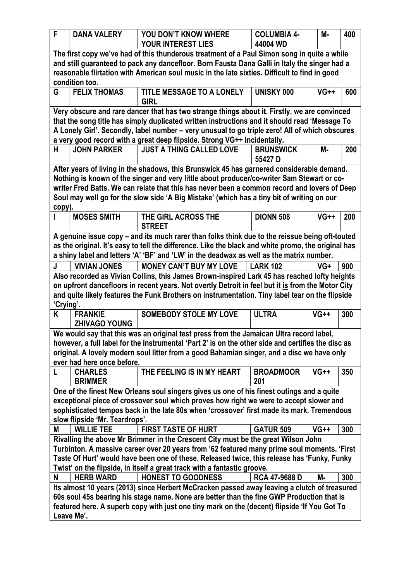| F          | <b>DANA VALERY</b>                                                                                                                                                                        | YOU DON'T KNOW WHERE                                                                                                                                                                                                                                                                          | <b>COLUMBIA 4-</b>      | М-     | 400 |  |
|------------|-------------------------------------------------------------------------------------------------------------------------------------------------------------------------------------------|-----------------------------------------------------------------------------------------------------------------------------------------------------------------------------------------------------------------------------------------------------------------------------------------------|-------------------------|--------|-----|--|
|            |                                                                                                                                                                                           | <b>YOUR INTEREST LIES</b>                                                                                                                                                                                                                                                                     | 44004 WD                |        |     |  |
|            | condition too.                                                                                                                                                                            | The first copy we've had of this thunderous treatment of a Paul Simon song in quite a while<br>and still guaranteed to pack any dancefloor. Born Fausta Dana Galli in Italy the singer had a<br>reasonable flirtation with American soul music in the late sixties. Difficult to find in good |                         |        |     |  |
| G          | <b>FELIX THOMAS</b>                                                                                                                                                                       | TITLE MESSAGE TO A LONELY<br><b>GIRL</b>                                                                                                                                                                                                                                                      | <b>UNISKY 000</b>       | $VG++$ | 600 |  |
|            |                                                                                                                                                                                           | Very obscure and rare dancer that has two strange things about it. Firstly, we are convinced                                                                                                                                                                                                  |                         |        |     |  |
|            |                                                                                                                                                                                           | that the song title has simply duplicated written instructions and it should read 'Message To                                                                                                                                                                                                 |                         |        |     |  |
|            |                                                                                                                                                                                           | A Lonely Girl'. Secondly, label number - very unusual to go triple zero! All of which obscures                                                                                                                                                                                                |                         |        |     |  |
|            |                                                                                                                                                                                           | a very good record with a great deep flipside. Strong VG++ incidentally.                                                                                                                                                                                                                      |                         |        |     |  |
| H          | <b>JOHN PARKER</b>                                                                                                                                                                        | <b>JUST A THING CALLED LOVE</b>                                                                                                                                                                                                                                                               | <b>BRUNSWICK</b>        | М-     | 200 |  |
|            |                                                                                                                                                                                           |                                                                                                                                                                                                                                                                                               | 55427 D                 |        |     |  |
|            |                                                                                                                                                                                           | After years of living in the shadows, this Brunswick 45 has garnered considerable demand.                                                                                                                                                                                                     |                         |        |     |  |
|            |                                                                                                                                                                                           | Nothing is known of the singer and very little about producer/co-writer Sam Stewart or co-<br>writer Fred Batts. We can relate that this has never been a common record and lovers of Deep                                                                                                    |                         |        |     |  |
|            |                                                                                                                                                                                           | Soul may well go for the slow side 'A Big Mistake' (which has a tiny bit of writing on our                                                                                                                                                                                                    |                         |        |     |  |
| copy).     |                                                                                                                                                                                           |                                                                                                                                                                                                                                                                                               |                         |        |     |  |
|            | <b>MOSES SMITH</b>                                                                                                                                                                        | THE GIRL ACROSS THE<br><b>STREET</b>                                                                                                                                                                                                                                                          | <b>DIONN 508</b>        | $VG++$ | 200 |  |
|            |                                                                                                                                                                                           | A genuine issue copy - and its much rarer than folks think due to the reissue being oft-touted                                                                                                                                                                                                |                         |        |     |  |
|            |                                                                                                                                                                                           | as the original. It's easy to tell the difference. Like the black and white promo, the original has                                                                                                                                                                                           |                         |        |     |  |
|            |                                                                                                                                                                                           | a shiny label and letters 'A' 'BF' and 'LW' in the deadwax as well as the matrix number.                                                                                                                                                                                                      |                         |        |     |  |
| J          | <b>VIVIAN JONES</b>                                                                                                                                                                       | <b>MONEY CAN'T BUY MY LOVE</b>                                                                                                                                                                                                                                                                | <b>LARK 102</b>         | VG+    | 900 |  |
|            |                                                                                                                                                                                           | Also recorded as Vivian Collins, this James Brown-inspired Lark 45 has reached lofty heights                                                                                                                                                                                                  |                         |        |     |  |
|            |                                                                                                                                                                                           | on upfront dancefloors in recent years. Not overtly Detroit in feel but it is from the Motor City                                                                                                                                                                                             |                         |        |     |  |
|            |                                                                                                                                                                                           | and quite likely features the Funk Brothers on instrumentation. Tiny label tear on the flipside                                                                                                                                                                                               |                         |        |     |  |
| 'Crying'.  |                                                                                                                                                                                           |                                                                                                                                                                                                                                                                                               |                         |        |     |  |
| K          | <b>FRANKIE</b><br><b>ZHIVAGO YOUNG</b>                                                                                                                                                    | <b>SOMEBODY STOLE MY LOVE</b>                                                                                                                                                                                                                                                                 | <b>ULTRA</b>            | $VG++$ | 300 |  |
|            |                                                                                                                                                                                           | We would say that this was an original test press from the Jamaican Ultra record label,                                                                                                                                                                                                       |                         |        |     |  |
|            |                                                                                                                                                                                           | however, a full label for the instrumental 'Part 2' is on the other side and certifies the disc as                                                                                                                                                                                            |                         |        |     |  |
|            |                                                                                                                                                                                           | original. A lovely modern soul litter from a good Bahamian singer, and a disc we have only                                                                                                                                                                                                    |                         |        |     |  |
|            | ever had here once before.                                                                                                                                                                |                                                                                                                                                                                                                                                                                               |                         |        |     |  |
| L          | <b>CHARLES</b><br><b>BRIMMER</b>                                                                                                                                                          | THE FEELING IS IN MY HEART                                                                                                                                                                                                                                                                    | <b>BROADMOOR</b><br>201 | $VG++$ | 350 |  |
|            |                                                                                                                                                                                           | One of the finest New Orleans soul singers gives us one of his finest outings and a quite                                                                                                                                                                                                     |                         |        |     |  |
|            |                                                                                                                                                                                           | exceptional piece of crossover soul which proves how right we were to accept slower and                                                                                                                                                                                                       |                         |        |     |  |
|            |                                                                                                                                                                                           | sophisticated tempos back in the late 80s when 'crossover' first made its mark. Tremendous                                                                                                                                                                                                    |                         |        |     |  |
|            | slow flipside 'Mr. Teardrops'.                                                                                                                                                            |                                                                                                                                                                                                                                                                                               |                         |        |     |  |
| М          | <b>WILLIE TEE</b>                                                                                                                                                                         | <b>FIRST TASTE OF HURT</b>                                                                                                                                                                                                                                                                    | <b>GATUR 509</b>        | $VG++$ | 300 |  |
|            |                                                                                                                                                                                           | Rivalling the above Mr Brimmer in the Crescent City must be the great Wilson John                                                                                                                                                                                                             |                         |        |     |  |
|            |                                                                                                                                                                                           | Turbinton. A massive career over 20 years from '62 featured many prime soul moments. 'First                                                                                                                                                                                                   |                         |        |     |  |
|            |                                                                                                                                                                                           | Taste Of Hurt' would have been one of these. Released twice, this release has 'Funky, Funky                                                                                                                                                                                                   |                         |        |     |  |
|            |                                                                                                                                                                                           | Twist' on the flipside, in itself a great track with a fantastic groove.                                                                                                                                                                                                                      |                         |        |     |  |
| N          | <b>HERB WARD</b>                                                                                                                                                                          | <b>HONEST TO GOODNESS</b>                                                                                                                                                                                                                                                                     | RCA 47-9688 D           | М-     | 300 |  |
|            |                                                                                                                                                                                           | Its almost 10 years (2013) since Herbert McCracken passed away leaving a clutch of treasured                                                                                                                                                                                                  |                         |        |     |  |
|            | 60s soul 45s bearing his stage name. None are better than the fine GWP Production that is<br>featured here. A superb copy with just one tiny mark on the (decent) flipside 'If You Got To |                                                                                                                                                                                                                                                                                               |                         |        |     |  |
|            |                                                                                                                                                                                           |                                                                                                                                                                                                                                                                                               |                         |        |     |  |
| Leave Me'. |                                                                                                                                                                                           |                                                                                                                                                                                                                                                                                               |                         |        |     |  |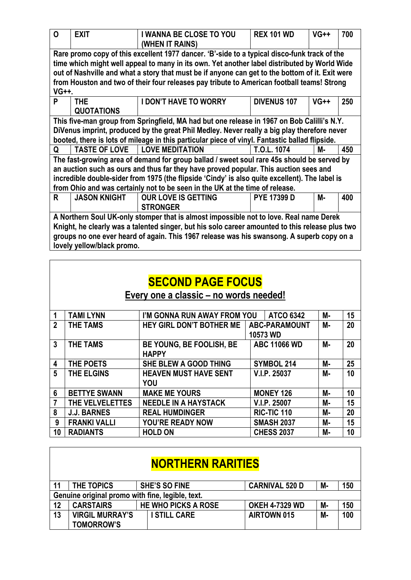| $\mathbf 0$                                                                                                                                                                                                                                                                                                                                                                                            | <b>EXIT</b>                     | <b>I WANNA BE CLOSE TO YOU</b><br>(WHEN IT RAINS)                                                                                                                                                                                                                                           | <b>REX 101 WD</b>  | $VG++$ | 700 |  |
|--------------------------------------------------------------------------------------------------------------------------------------------------------------------------------------------------------------------------------------------------------------------------------------------------------------------------------------------------------------------------------------------------------|---------------------------------|---------------------------------------------------------------------------------------------------------------------------------------------------------------------------------------------------------------------------------------------------------------------------------------------|--------------------|--------|-----|--|
| Rare promo copy of this excellent 1977 dancer. 'B'-side to a typical disco-funk track of the<br>time which might well appeal to many in its own. Yet another label distributed by World Wide<br>out of Nashville and what a story that must be if anyone can get to the bottom of it. Exit were<br>from Houston and two of their four releases pay tribute to American football teams! Strong<br>VG++. |                                 |                                                                                                                                                                                                                                                                                             |                    |        |     |  |
| P                                                                                                                                                                                                                                                                                                                                                                                                      | <b>THE</b><br><b>QUOTATIONS</b> | <b>I DON'T HAVE TO WORRY</b>                                                                                                                                                                                                                                                                | <b>DIVENUS 107</b> | $VG++$ | 250 |  |
|                                                                                                                                                                                                                                                                                                                                                                                                        |                                 | This five-man group from Springfield, MA had but one release in 1967 on Bob Calilli's N.Y.<br>DiVenus imprint, produced by the great Phil Medley. Never really a big play therefore never<br>booted, there is lots of mileage in this particular piece of vinyl. Fantastic ballad flipside. |                    |        |     |  |
| Q                                                                                                                                                                                                                                                                                                                                                                                                      | <b>TASTE OF LOVE</b>            | <b>LOVE MEDITATION</b>                                                                                                                                                                                                                                                                      | T.O.L. 1074        | М-     | 450 |  |
| The fast-growing area of demand for group ballad / sweet soul rare 45s should be served by<br>an auction such as ours and thus far they have proved popular. This auction sees and<br>incredible double-sider from 1975 (the flipside 'Cindy' is also quite excellent). The label is<br>from Ohio and was certainly not to be seen in the UK at the time of release.                                   |                                 |                                                                                                                                                                                                                                                                                             |                    |        |     |  |
| R                                                                                                                                                                                                                                                                                                                                                                                                      | <b>JASON KNIGHT</b>             | <b>OUR LOVE IS GETTING</b><br><b>STRONGER</b>                                                                                                                                                                                                                                               | <b>PYE 17399 D</b> | М-     | 400 |  |
| A Northern Soul UK-only stomper that is almost impossible not to love. Real name Derek<br>Knight, he clearly was a talented singer, but his solo career amounted to this release plus two<br>groups no one ever heard of again. This 1967 release was his swansong. A superb copy on a<br>lovely yellow/black promo.                                                                                   |                                 |                                                                                                                                                                                                                                                                                             |                    |        |     |  |

|                | <b>SECOND PAGE FOCUS</b> |                                          |                                  |    |    |  |  |
|----------------|--------------------------|------------------------------------------|----------------------------------|----|----|--|--|
|                |                          | Every one a classic – no words needed!   |                                  |    |    |  |  |
|                | <b>TAMI LYNN</b>         | I'M GONNA RUN AWAY FROM YOU              | <b>ATCO 6342</b>                 | М- | 15 |  |  |
| $\overline{2}$ | <b>THE TAMS</b>          | <b>HEY GIRL DON'T BOTHER ME</b>          | <b>ABC-PARAMOUNT</b><br>10573 WD | М- | 20 |  |  |
| 3              | <b>THE TAMS</b>          | BE YOUNG, BE FOOLISH, BE<br><b>HAPPY</b> | <b>ABC 11066 WD</b>              | M- | 20 |  |  |
| 4              | THE POETS                | SHE BLEW A GOOD THING                    | <b>SYMBOL 214</b>                | М- | 25 |  |  |
| 5              | THE ELGINS               | <b>HEAVEN MUST HAVE SENT</b><br>YOU      | V.I.P. 25037                     | М- | 10 |  |  |
| 6              | <b>BETTYE SWANN</b>      | <b>MAKE ME YOURS</b>                     | <b>MONEY 126</b>                 | М- | 10 |  |  |
| $\overline{7}$ | THE VELVELETTES          | <b>NEEDLE IN A HAYSTACK</b>              | V.I.P. 25007                     | М- | 15 |  |  |
| 8              | <b>J.J. BARNES</b>       | <b>REAL HUMDINGER</b>                    | RIC-TIC 110                      | M- | 20 |  |  |
| 9              | <b>FRANKI VALLI</b>      | <b>YOU'RE READY NOW</b>                  | <b>SMASH 2037</b>                | M- | 15 |  |  |
| 10             | <b>RADIANTS</b>          | <b>HOLD ON</b>                           | <b>CHESS 2037</b>                | M- | 10 |  |  |

| <b>NORTHERN RARITIES</b> |                                                  |  |                            |                       |  |    |     |
|--------------------------|--------------------------------------------------|--|----------------------------|-----------------------|--|----|-----|
| 11                       | THE TOPICS                                       |  | <b>SHE'S SO FINE</b>       | <b>CARNIVAL 520 D</b> |  | M- | 150 |
|                          | Genuine original promo with fine, legible, text. |  |                            |                       |  |    |     |
| 12                       | <b>CARSTAIRS</b>                                 |  | <b>HE WHO PICKS A ROSE</b> | <b>OKEH 4-7329 WD</b> |  | M- | 150 |
| 13                       | <b>VIRGIL MURRAY'S</b><br><b>TOMORROW'S</b>      |  | <b>I STILL CARE</b>        | <b>AIRTOWN 015</b>    |  | М- | 100 |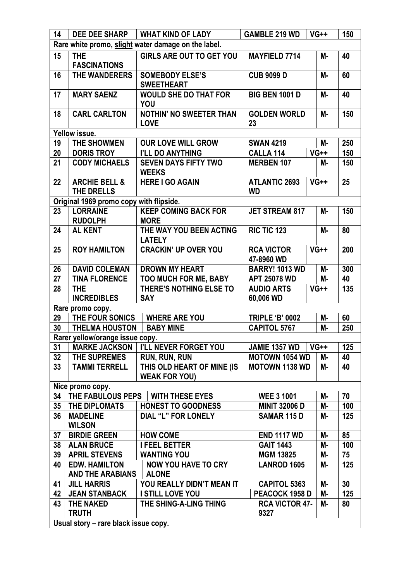| 14              |                                                     | DEE DEE SHARP   WHAT KIND OF LADY                  | <b>GAMBLE 219 WD</b>              | $VG++$    | 150 |  |  |
|-----------------|-----------------------------------------------------|----------------------------------------------------|-----------------------------------|-----------|-----|--|--|
|                 | Rare white promo, slight water damage on the label. |                                                    |                                   |           |     |  |  |
| 15              | <b>THE</b><br><b>FASCINATIONS</b>                   | <b>GIRLS ARE OUT TO GET YOU</b>                    | <b>MAYFIELD 7714</b>              | <b>M-</b> | 40  |  |  |
| 16              | THE WANDERERS                                       | <b>SOMEBODY ELSE'S</b><br><b>SWEETHEART</b>        | <b>CUB 9099 D</b>                 | <b>M-</b> | 60  |  |  |
| 17              | <b>MARY SAENZ</b>                                   | <b>WOULD SHE DO THAT FOR</b><br>YOU                | <b>BIG BEN 1001 D</b>             | <b>M-</b> | 40  |  |  |
| 18              | <b>CARL CARLTON</b>                                 | <b>NOTHIN' NO SWEETER THAN</b><br><b>LOVE</b>      | <b>GOLDEN WORLD</b><br>23         | <b>M-</b> | 150 |  |  |
|                 | Yellow issue.                                       |                                                    |                                   |           |     |  |  |
| 19              | <b>THE SHOWMEN</b>                                  | <b>OUR LOVE WILL GROW</b>                          | <b>SWAN 4219</b>                  | <b>M-</b> | 250 |  |  |
| 20              | <b>DORIS TROY</b>                                   | I'LL DO ANYTHING                                   | <b>CALLA 114</b>                  | $VG++$    | 150 |  |  |
| 21              | <b>CODY MICHAELS</b>                                | <b>SEVEN DAYS FIFTY TWO</b><br><b>WEEKS</b>        | <b>MERBEN 107</b>                 | М-        | 150 |  |  |
| 22              | <b>ARCHIE BELL &amp;</b><br>THE DRELLS              | <b>HERE I GO AGAIN</b>                             | <b>ATLANTIC 2693</b><br><b>WD</b> | $VG++$    | 25  |  |  |
|                 | Original 1969 promo copy with flipside.             |                                                    |                                   |           |     |  |  |
| 23              | <b>LORRAINE</b><br><b>RUDOLPH</b>                   | <b>KEEP COMING BACK FOR</b><br><b>MORE</b>         | <b>JET STREAM 817</b>             | <b>M-</b> | 150 |  |  |
| 24              | <b>AL KENT</b>                                      | THE WAY YOU BEEN ACTING<br><b>LATELY</b>           | <b>RIC TIC 123</b>                | <b>M-</b> | 80  |  |  |
| 25              | <b>ROY HAMILTON</b>                                 | <b>CRACKIN' UP OVER YOU</b>                        | <b>RCA VICTOR</b><br>47-8960 WD   | $VG++$    | 200 |  |  |
| 26              | <b>DAVID COLEMAN</b>                                | <b>DROWN MY HEART</b>                              | <b>BARRY! 1013 WD</b>             | $M -$     | 300 |  |  |
| 27              | <b>TINA FLORENCE</b>                                | <b>TOO MUCH FOR ME, BABY</b>                       | <b>APT 25078 WD</b>               | M-        | 40  |  |  |
| 28              | <b>THE</b><br><b>INCREDIBLES</b>                    | THERE'S NOTHING ELSE TO<br><b>SAY</b>              | <b>AUDIO ARTS</b><br>60,006 WD    | $VG++$    | 135 |  |  |
|                 | Rare promo copy.                                    |                                                    |                                   |           |     |  |  |
| 29              | THE FOUR SONICS                                     | <b>WHERE ARE YOU</b>                               | <b>TRIPLE 'B' 0002</b>            | M-        | 60  |  |  |
| 30              | <b>THELMA HOUSTON</b>                               | <b>BABY MINE</b>                                   | <b>CAPITOL 5767</b>               | М-        | 250 |  |  |
|                 | Rarer yellow/orange issue copy.                     |                                                    |                                   |           |     |  |  |
| 31              |                                                     | <b>MARKE JACKSON   I'LL NEVER FORGET YOU</b>       | <b>JAMIE 1357 WD</b>              | $VG++$    | 125 |  |  |
| 32              | THE SUPREMES                                        | <b>RUN, RUN, RUN</b>                               | <b>MOTOWN 1054 WD</b>             | M-        | 40  |  |  |
| 33              | <b>TAMMI TERRELL</b>                                | THIS OLD HEART OF MINE (IS<br><b>WEAK FOR YOU)</b> | <b>MOTOWN 1138 WD</b>             | М-        | 40  |  |  |
|                 | Nice promo copy.                                    |                                                    |                                   |           |     |  |  |
| 34              | THE FABULOUS PEPS                                   | <b>WITH THESE EYES</b>                             | <b>WEE 3 1001</b>                 | М-        | 70  |  |  |
| 35 <sub>1</sub> | THE DIPLOMATS                                       | <b>HONEST TO GOODNESS</b>                          | <b>MINIT 32006 D</b>              | M-        | 100 |  |  |
| 36              | <b>MADELINE</b><br><b>WILSON</b>                    | <b>DIAL "L" FOR LONELY</b>                         | SAMAR 115 D                       | M-        | 125 |  |  |
| 37              | <b>BIRDIE GREEN</b>                                 | <b>HOW COME</b>                                    | <b>END 1117 WD</b>                | M-        | 85  |  |  |
| 38              | <b>ALAN BRUCE</b>                                   | <b>I FEEL BETTER</b>                               | <b>GAIT 1443</b>                  | M-        | 100 |  |  |
| 39              | <b>APRIL STEVENS</b>                                | <b>WANTING YOU</b>                                 | <b>MGM 13825</b>                  | M-        | 75  |  |  |
| 40              | <b>EDW. HAMILTON</b><br><b>AND THE ARABIANS</b>     | <b>NOW YOU HAVE TO CRY</b><br><b>ALONE</b>         | <b>LANROD 1605</b>                | М-        | 125 |  |  |
| 41              | <b>JILL HARRIS</b>                                  | YOU REALLY DIDN'T MEAN IT                          | <b>CAPITOL 5363</b>               | M-        | 30  |  |  |
| 42              | <b>JEAN STANBACK</b>                                | I STILL LOVE YOU                                   | PEACOCK 1958 D                    | M-        | 125 |  |  |
| 43              | <b>THE NAKED</b>                                    | THE SHING-A-LING THING                             | <b>RCA VICTOR 47-</b>             | М-        | 80  |  |  |
|                 | <b>TRUTH</b>                                        |                                                    | 9327                              |           |     |  |  |
|                 | Usual story - rare black issue copy.                |                                                    |                                   |           |     |  |  |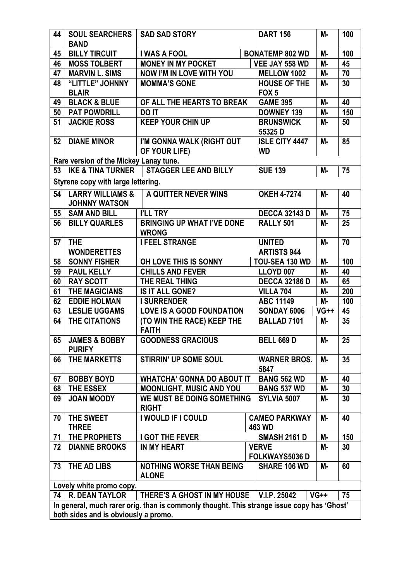| 44                                   | <b>SOUL SEARCHERS</b><br><b>BAND</b>                | <b>SAD SAD STORY</b>                                                                       |  | <b>DART 156</b>                         | М-        | 100 |
|--------------------------------------|-----------------------------------------------------|--------------------------------------------------------------------------------------------|--|-----------------------------------------|-----------|-----|
| 45                                   | <b>BILLY TIRCUIT</b>                                | <b>I WAS A FOOL</b>                                                                        |  | <b>BONATEMP 802 WD</b>                  | М-        | 100 |
| 46                                   | <b>MOSS TOLBERT</b>                                 | <b>MONEY IN MY POCKET</b>                                                                  |  | VEE JAY 558 WD                          | <b>M-</b> | 45  |
| 47                                   | <b>MARVIN L. SIMS</b>                               | <b>NOW I'M IN LOVE WITH YOU</b>                                                            |  | <b>MELLOW 1002</b>                      | M-        | 70  |
| 48                                   | "LITTLE" JOHNNY<br><b>BLAIR</b>                     | <b>MOMMA'S GONE</b>                                                                        |  | <b>HOUSE OF THE</b><br>FOX <sub>5</sub> | М-        | 30  |
| 49                                   | <b>BLACK &amp; BLUE</b>                             | OF ALL THE HEARTS TO BREAK                                                                 |  | <b>GAME 395</b>                         | <b>M-</b> | 40  |
| 50                                   | <b>PAT POWDRILL</b>                                 | <b>DO IT</b>                                                                               |  | DOWNEY 139                              | M-        | 150 |
| 51                                   | <b>JACKIE ROSS</b>                                  | <b>KEEP YOUR CHIN UP</b>                                                                   |  | <b>BRUNSWICK</b>                        | М-        | 50  |
|                                      |                                                     |                                                                                            |  | 55325D                                  |           |     |
| 52                                   | <b>DIANE MINOR</b>                                  | I'M GONNA WALK (RIGHT OUT<br>OF YOUR LIFE)                                                 |  | <b>ISLE CITY 4447</b><br><b>WD</b>      | М-        | 85  |
|                                      | Rare version of the Mickey Lanay tune.              |                                                                                            |  |                                         |           |     |
| 53                                   |                                                     | IKE & TINA TURNER   STAGGER LEE AND BILLY                                                  |  | <b>SUE 139</b>                          | М-        | 75  |
|                                      | Styrene copy with large lettering.                  |                                                                                            |  |                                         |           |     |
| 54                                   | <b>LARRY WILLIAMS &amp;</b><br><b>JOHNNY WATSON</b> | A QUITTER NEVER WINS                                                                       |  | <b>OKEH 4-7274</b>                      | М-        | 40  |
| 55                                   | <b>SAM AND BILL</b>                                 | I'LL TRY                                                                                   |  | <b>DECCA 32143 D</b>                    | <b>M-</b> | 75  |
| 56                                   | <b>BILLY QUARLES</b>                                | <b>BRINGING UP WHAT I'VE DONE</b>                                                          |  | RALLY <sub>501</sub>                    | M-        | 25  |
|                                      |                                                     | <b>WRONG</b>                                                                               |  |                                         |           |     |
| 57                                   | <b>THE</b>                                          | <b>I FEEL STRANGE</b>                                                                      |  | <b>UNITED</b>                           | <b>M-</b> | 70  |
|                                      | <b>WONDERETTES</b>                                  |                                                                                            |  | <b>ARTISTS 944</b>                      |           |     |
| 58                                   | <b>SONNY FISHER</b>                                 | OH LOVE THIS IS SONNY                                                                      |  | TOU-SEA 130 WD                          | М-        | 100 |
| 59                                   | <b>PAUL KELLY</b>                                   | <b>CHILLS AND FEVER</b>                                                                    |  | LLOYD 007                               | <b>M-</b> | 40  |
| 60                                   | <b>RAY SCOTT</b>                                    | THE REAL THING                                                                             |  | <b>DECCA 32186 D</b>                    | M-        | 65  |
| 61                                   | <b>THE MAGICIANS</b>                                | <b>IS IT ALL GONE?</b>                                                                     |  | <b>VILLA 704</b>                        | М-        | 200 |
| 62                                   | <b>EDDIE HOLMAN</b>                                 | <b>I SURRENDER</b>                                                                         |  | <b>ABC 11149</b>                        | <b>M-</b> | 100 |
| 63                                   | <b>LESLIE UGGAMS</b>                                | <b>LOVE IS A GOOD FOUNDATION</b>                                                           |  | SONDAY 6006                             | $VG++$    | 45  |
| 64                                   | THE CITATIONS                                       | (TO WIN THE RACE) KEEP THE<br><b>FAITH</b>                                                 |  | <b>BALLAD 7101</b>                      | М-        | 35  |
| 65                                   | <b>JAMES &amp; BOBBY</b><br><b>PURIFY</b>           | <b>GOODNESS GRACIOUS</b>                                                                   |  | <b>BELL 669 D</b>                       | M-        | 25  |
| 66                                   | THE MARKETTS                                        | <b>STIRRIN' UP SOME SOUL</b>                                                               |  | <b>WARNER BROS.</b><br>5847             | М-        | 35  |
| 67                                   | <b>BOBBY BOYD</b>                                   | <b>WHATCHA' GONNA DO ABOUT IT</b>                                                          |  | <b>BANG 562 WD</b>                      | M-        | 40  |
| 68                                   | THE ESSEX                                           | <b>MOONLIGHT, MUSIC AND YOU</b>                                                            |  | <b>BANG 537 WD</b>                      | M-        | 30  |
| 69                                   | <b>JOAN MOODY</b>                                   | WE MUST BE DOING SOMETHING<br><b>RIGHT</b>                                                 |  | <b>SYLVIA 5007</b>                      | M-        | 30  |
| 70                                   | THE SWEET<br><b>THREE</b>                           | I WOULD IF I COULD                                                                         |  | <b>CAMEO PARKWAY</b><br>463 WD          | М-        | 40  |
| 71                                   | THE PROPHETS                                        | <b>I GOT THE FEVER</b>                                                                     |  | <b>SMASH 2161 D</b>                     | <b>M-</b> | 150 |
| 72                                   | <b>DIANNE BROOKS</b>                                | <b>IN MY HEART</b>                                                                         |  | <b>VERVE</b>                            | M-        | 30  |
|                                      |                                                     |                                                                                            |  | FOLKWAYS5036 D                          |           |     |
| 73                                   | THE AD LIBS                                         | <b>NOTHING WORSE THAN BEING</b><br><b>ALONE</b>                                            |  | SHARE 106 WD                            | М-        | 60  |
|                                      | Lovely white promo copy.                            |                                                                                            |  |                                         |           |     |
| 74 <sup>1</sup>                      | <b>R. DEAN TAYLOR</b>                               | THERE'S A GHOST IN MY HOUSE                                                                |  | V.I.P. 25042                            | $VG++$    | 75  |
|                                      |                                                     | In general, much rarer orig. than is commonly thought. This strange issue copy has 'Ghost' |  |                                         |           |     |
| both sides and is obviously a promo. |                                                     |                                                                                            |  |                                         |           |     |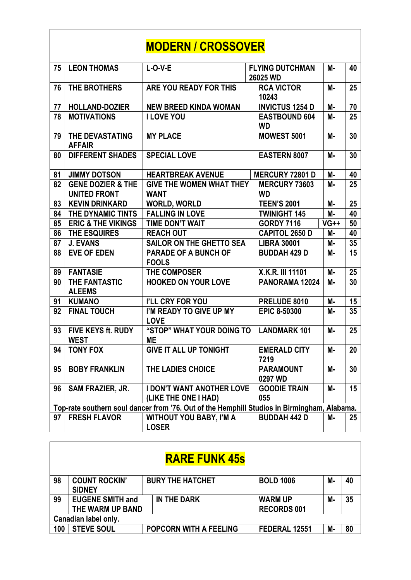## **MODERN / CROSSOVER**

| 75 | <b>LEON THOMAS</b>                                  | $L-O-V-E$                                                                                   | <b>FLYING DUTCHMAN</b><br>26025 WD | М-        | 40 |
|----|-----------------------------------------------------|---------------------------------------------------------------------------------------------|------------------------------------|-----------|----|
| 76 | THE BROTHERS                                        | <b>ARE YOU READY FOR THIS</b>                                                               | <b>RCA VICTOR</b><br>10243         | М-        | 25 |
| 77 | <b>HOLLAND-DOZIER</b>                               | <b>NEW BREED KINDA WOMAN</b>                                                                | <b>INVICTUS 1254 D</b>             | M-        | 70 |
| 78 | <b>MOTIVATIONS</b>                                  | <b>I LOVE YOU</b>                                                                           | <b>EASTBOUND 604</b><br><b>WD</b>  | M-        | 25 |
| 79 | THE DEVASTATING<br><b>AFFAIR</b>                    | <b>MY PLACE</b>                                                                             | <b>MOWEST 5001</b>                 | М-        | 30 |
| 80 | <b>DIFFERENT SHADES</b>                             | <b>SPECIAL LOVE</b>                                                                         | <b>EASTERN 8007</b>                | М-        | 30 |
| 81 | <b>JIMMY DOTSON</b>                                 | <b>HEARTBREAK AVENUE</b>                                                                    | <b>MERCURY 72801 D</b>             | М-        | 40 |
| 82 | <b>GENE DOZIER &amp; THE</b><br><b>UNITED FRONT</b> | <b>GIVE THE WOMEN WHAT THEY</b><br><b>WANT</b>                                              | <b>MERCURY 73603</b><br><b>WD</b>  | М-        | 25 |
| 83 | <b>KEVIN DRINKARD</b>                               | <b>WORLD, WORLD</b>                                                                         | <b>TEEN'S 2001</b>                 | М-        | 25 |
| 84 | THE DYNAMIC TINTS                                   | <b>FALLING IN LOVE</b>                                                                      | <b>TWINIGHT 145</b>                | M-        | 40 |
| 85 | <b>ERIC &amp; THE VIKINGS</b>                       | <b>TIME DON'T WAIT</b>                                                                      | <b>GORDY 7116</b>                  | $VG++$    | 50 |
| 86 | THE ESQUIRES                                        | <b>REACH OUT</b>                                                                            | <b>CAPITOL 2650 D</b>              | М-        | 40 |
| 87 | <b>J. EVANS</b>                                     | <b>SAILOR ON THE GHETTO SEA</b>                                                             | <b>LIBRA 30001</b>                 | M-        | 35 |
| 88 | <b>EVE OF EDEN</b>                                  | <b>PARADE OF A BUNCH OF</b><br><b>FOOLS</b>                                                 | <b>BUDDAH 429 D</b>                | М-        | 15 |
| 89 | <b>FANTASIE</b>                                     | <b>THE COMPOSER</b>                                                                         | X.K.R. III 11101                   | <b>M-</b> | 25 |
| 90 | THE FANTASTIC<br><b>ALEEMS</b>                      | <b>HOOKED ON YOUR LOVE</b>                                                                  | PANORAMA 12024                     | М-        | 30 |
| 91 | <b>KUMANO</b>                                       | I'LL CRY FOR YOU                                                                            | PRELUDE 8010                       | M-        | 15 |
| 92 | <b>FINAL TOUCH</b>                                  | I'M READY TO GIVE UP MY<br><b>LOVE</b>                                                      | <b>EPIC 8-50300</b>                | М-        | 35 |
| 93 | <b>FIVE KEYS ft. RUDY</b><br><b>WEST</b>            | "STOP" WHAT YOUR DOING TO<br><b>ME</b>                                                      | <b>LANDMARK 101</b>                | М-        | 25 |
| 94 | <b>TONY FOX</b>                                     | <b>GIVE IT ALL UP TONIGHT</b>                                                               | <b>EMERALD CITY</b><br>7219        | М-        | 20 |
| 95 | <b>BOBY FRANKLIN</b>                                | <b>THE LADIES CHOICE</b>                                                                    | <b>PARAMOUNT</b><br>0297 WD        | M-        | 30 |
| 96 | <b>SAM FRAZIER, JR.</b>                             | <b>I DON'T WANT ANOTHER LOVE</b><br>(LIKE THE ONE I HAD)                                    | <b>GOODIE TRAIN</b><br>055         | M-        | 15 |
|    |                                                     | Top-rate southern soul dancer from '76. Out of the Hemphill Studios in Birmingham, Alabama. |                                    |           |    |
| 97 | <b>FRESH FLAVOR</b>                                 | <b>WITHOUT YOU BABY, I'M A</b><br><b>LOSER</b>                                              | <b>BUDDAH 442 D</b>                | М-        | 25 |

| 98                   | <b>COUNT ROCKIN'</b>    | <b>BURY THE HATCHET</b>       | <b>BOLD 1006</b>   | M- | 40 |  |  |
|----------------------|-------------------------|-------------------------------|--------------------|----|----|--|--|
|                      | <b>SIDNEY</b>           |                               |                    |    |    |  |  |
| 99                   | <b>EUGENE SMITH and</b> | IN THE DARK                   | <b>WARM UP</b>     | M- | 35 |  |  |
|                      | THE WARM UP BAND        |                               | <b>RECORDS 001</b> |    |    |  |  |
| Canadian label only. |                         |                               |                    |    |    |  |  |
| 100                  | <b>STEVE SOUL</b>       | <b>POPCORN WITH A FEELING</b> | FEDERAL 12551      | М- | 80 |  |  |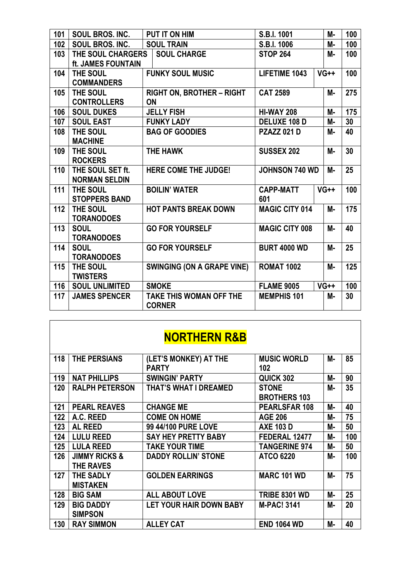| 101 | SOUL BROS. INC.       | PUT IT ON HIM                     | S.B.I. 1001           | М-        | 100 |
|-----|-----------------------|-----------------------------------|-----------------------|-----------|-----|
| 102 | SOUL BROS. INC.       | <b>SOUL TRAIN</b>                 | S.B.I. 1006           | M-        | 100 |
| 103 | THE SOUL CHARGERS     | <b>SOUL CHARGE</b>                | <b>STOP 264</b>       | <b>M-</b> | 100 |
|     | ft. JAMES FOUNTAIN    |                                   |                       |           |     |
| 104 | THE SOUL              | <b>FUNKY SOUL MUSIC</b>           | LIFETIME 1043         | $VG++$    | 100 |
|     | <b>COMMANDERS</b>     |                                   |                       |           |     |
| 105 | THE SOUL              | <b>RIGHT ON, BROTHER - RIGHT</b>  | <b>CAT 2589</b>       | <b>M-</b> | 275 |
|     | <b>CONTROLLERS</b>    | <b>ON</b>                         |                       |           |     |
| 106 | <b>SOUL DUKES</b>     | <b>JELLY FISH</b>                 | <b>HI-WAY 208</b>     | М-        | 175 |
| 107 | <b>SOUL EAST</b>      | <b>FUNKY LADY</b>                 | <b>DELUXE 108 D</b>   | М-        | 30  |
| 108 | THE SOUL              | <b>BAG OF GOODIES</b>             | <b>PZAZZ 021 D</b>    | М-        | 40  |
|     | <b>MACHINE</b>        |                                   |                       |           |     |
| 109 | THE SOUL              | THE HAWK                          | <b>SUSSEX 202</b>     | М-        | 30  |
|     | <b>ROCKERS</b>        |                                   |                       |           |     |
| 110 | THE SOUL SET ft.      | <b>HERE COME THE JUDGE!</b>       | <b>JOHNSON 740 WD</b> | М-        | 25  |
|     | <b>NORMAN SELDIN</b>  |                                   |                       |           |     |
| 111 | THE SOUL              | <b>BOILIN' WATER</b>              | <b>CAPP-MATT</b>      | $VG++$    | 100 |
|     | <b>STOPPERS BAND</b>  |                                   | 601                   |           |     |
| 112 | THE SOUL              | <b>HOT PANTS BREAK DOWN</b>       | <b>MAGIC CITY 014</b> | М-        | 175 |
|     | <b>TORANODOES</b>     |                                   |                       |           |     |
| 113 | <b>SOUL</b>           | <b>GO FOR YOURSELF</b>            | <b>MAGIC CITY 008</b> | <b>M-</b> | 40  |
|     | <b>TORANODOES</b>     |                                   |                       |           |     |
| 114 | <b>SOUL</b>           | <b>GO FOR YOURSELF</b>            | <b>BURT 4000 WD</b>   | <b>M-</b> | 25  |
|     | <b>TORANODOES</b>     |                                   |                       |           |     |
| 115 | THE SOUL              | <b>SWINGING (ON A GRAPE VINE)</b> | <b>ROMAT 1002</b>     | <b>M-</b> | 125 |
|     | <b>TWISTERS</b>       |                                   |                       |           |     |
| 116 | <b>SOUL UNLIMITED</b> | <b>SMOKE</b>                      | <b>FLAME 9005</b>     | $VG++$    | 100 |
| 117 | <b>JAMES SPENCER</b>  | <b>TAKE THIS WOMAN OFF THE</b>    | <b>MEMPHIS 101</b>    | М-        | 30  |
|     |                       | <b>CORNER</b>                     |                       |           |     |

# **NORTHERN R&B**

| 118 | THE PERSIANS             | (LET'S MONKEY) AT THE        | <b>MUSIC WORLD</b>   | М- | 85  |
|-----|--------------------------|------------------------------|----------------------|----|-----|
|     |                          | <b>PARTY</b>                 | 102                  |    |     |
| 119 | <b>NAT PHILLIPS</b>      | <b>SWINGIN' PARTY</b>        | QUICK 302            | М- | 90  |
| 120 | <b>RALPH PETERSON</b>    | <b>THAT'S WHAT I DREAMED</b> | <b>STONE</b>         | М- | 35  |
|     |                          |                              | <b>BROTHERS 103</b>  |    |     |
| 121 | <b>PEARL REAVES</b>      | <b>CHANGE ME</b>             | PEARLSFAR 108        | М- | 40  |
| 122 | A.C. REED                | <b>COME ON HOME</b>          | <b>AGE 206</b>       | М- | 75  |
| 123 | <b>AL REED</b>           | 99 44/100 PURE LOVE          | <b>AXE 103 D</b>     | М- | 50  |
| 124 | <b>LULU REED</b>         | <b>SAY HEY PRETTY BABY</b>   | FEDERAL 12477        | М- | 100 |
| 125 | <b>LULA REED</b>         | <b>TAKE YOUR TIME</b>        | <b>TANGERINE 974</b> | М- | 50  |
| 126 | <b>JIMMY RICKS &amp;</b> | <b>DADDY ROLLIN' STONE</b>   | <b>ATCO 6220</b>     | М- | 100 |
|     | <b>THE RAVES</b>         |                              |                      |    |     |
| 127 | <b>THE SADLY</b>         | <b>GOLDEN EARRINGS</b>       | <b>MARC 101 WD</b>   | М- | 75  |
|     | <b>MISTAKEN</b>          |                              |                      |    |     |
| 128 | <b>BIG SAM</b>           | <b>ALL ABOUT LOVE</b>        | <b>TRIBE 8301 WD</b> | М- | 25  |
| 129 | <b>BIG DADDY</b>         | LET YOUR HAIR DOWN BABY      | <b>M-PAC! 3141</b>   | М- | 20  |
|     | <b>SIMPSON</b>           |                              |                      |    |     |
| 130 | <b>RAY SIMMON</b>        | <b>ALLEY CAT</b>             | <b>END 1064 WD</b>   | M- | 40  |